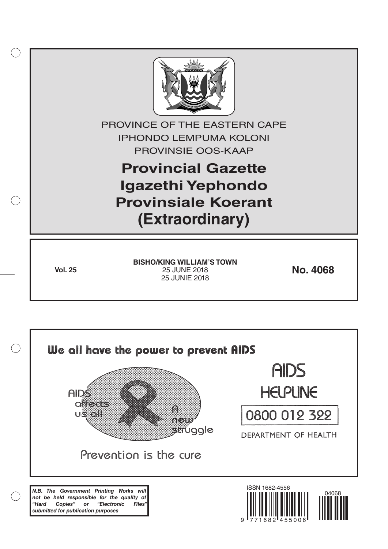

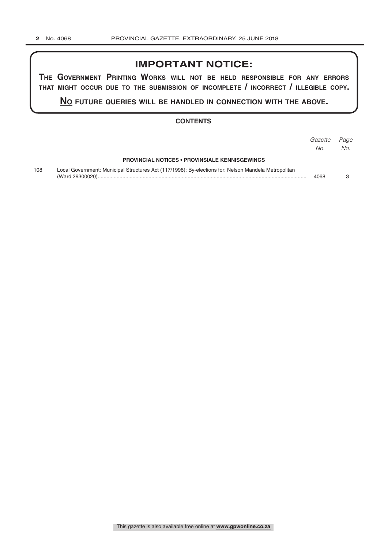# **IMPORTANT NOTICE:**

**The GovernmenT PrinTinG Works Will noT be held resPonsible for any errors ThaT miGhT occur due To The submission of incomPleTe / incorrecT / illeGible coPy.**

**no fuTure queries Will be handled in connecTion WiTh The above.**

#### **CONTENTS**

|     |                                                                                                      | Gazette<br>No. | Page<br>No. |
|-----|------------------------------------------------------------------------------------------------------|----------------|-------------|
|     | <b>PROVINCIAL NOTICES • PROVINSIALE KENNISGEWINGS</b>                                                |                |             |
| 108 | Local Government: Municipal Structures Act (117/1998): By-elections for: Nelson Mandela Metropolitan | 4068           |             |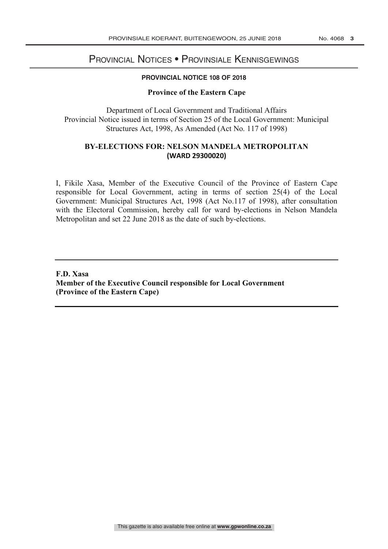# PROVINCIAL NOTICES • PROVINSIALE KENNISGEWINGS

#### **PROVINCIAL NOTICE 108 OF 2018**

#### **Province of the Eastern Cape**

Department of Local Government and Traditional Affairs Provincial Notice issued in terms of Section 25 of the Local Government: Municipal Structures Act, 1998, As Amended (Act No. 117 of 1998)

## **BY-ELECTIONS FOR: NELSON MANDELA METROPOLITAN (WARD 29300020)**

I, Fikile Xasa, Member of the Executive Council of the Province of Eastern Cape responsible for Local Government, acting in terms of section 25(4) of the Local Government: Municipal Structures Act, 1998 (Act No.117 of 1998), after consultation with the Electoral Commission, hereby call for ward by-elections in Nelson Mandela Metropolitan and set 22 June 2018 as the date of such by-elections.

### **F.D. Xasa Member of the Executive Council responsible for Local Government (Province of the Eastern Cape)**